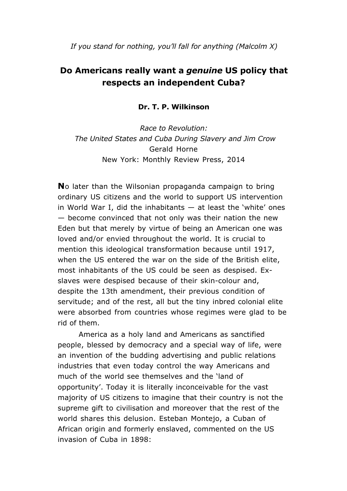*If you stand for nothing, you'll fall for anything (Malcolm X)*

# **Do Americans really want a** *genuine* **US policy that respects an independent Cuba?**

#### **Dr. T. P. Wilkinson**

*Race to Revolution: The United States and Cuba During Slavery and Jim Crow* Gerald Horne New York: Monthly Review Press, 2014

**N**o later than the Wilsonian propaganda campaign to bring ordinary US citizens and the world to support US intervention in World War I, did the inhabitants  $-$  at least the 'white' ones — become convinced that not only was their nation the new Eden but that merely by virtue of being an American one was loved and/or envied throughout the world. It is crucial to mention this ideological transformation because until 1917, when the US entered the war on the side of the British elite, most inhabitants of the US could be seen as despised. Exslaves were despised because of their skin-colour and, despite the 13th amendment, their previous condition of servitude; and of the rest, all but the tiny inbred colonial elite were absorbed from countries whose regimes were glad to be rid of them.

America as a holy land and Americans as sanctified people, blessed by democracy and a special way of life, were an invention of the budding advertising and public relations industries that even today control the way Americans and much of the world see themselves and the 'land of opportunity'. Today it is literally inconceivable for the vast majority of US citizens to imagine that their country is not the supreme gift to civilisation and moreover that the rest of the world shares this delusion. Esteban Montejo, a Cuban of African origin and formerly enslaved, commented on the US invasion of Cuba in 1898: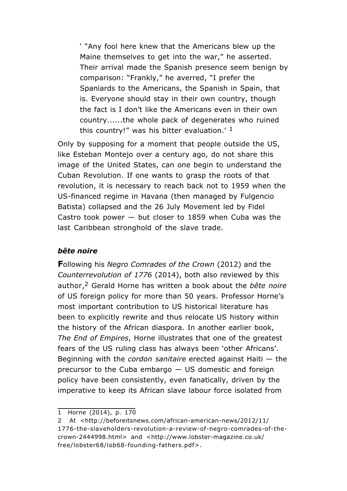' "Any fool here knew that the Americans blew up the Maine themselves to get into the war," he asserted. Their arrival made the Spanish presence seem benign by comparison: "Frankly," he averred, "I prefer the Spaniards to the Americans, the Spanish in Spain, that is. Everyone should stay in their own country, though the fact is I don't like the Americans even in their own country......the whole pack of degenerates who ruined this country!" was his bitter evaluation.' 1

Only by supposing for a moment that people outside the US, like Esteban Montejo over a century ago, do not share this image of the United States, can one begin to understand the Cuban Revolution. If one wants to grasp the roots of that revolution, it is necessary to reach back not to 1959 when the US-financed regime in Havana (then managed by Fulgencio Batista) collapsed and the 26 July Movement led by Fidel Castro took power  $-$  but closer to 1859 when Cuba was the last Caribbean stronghold of the slave trade.

#### *bête noire*

**F**ollowing his *Negro Comrades of the Crown* (2012) and the *Counterrevolution of 1776* (2014), both also reviewed by this author,2 Gerald Horne has written a book about the *bête noire* of US foreign policy for more than 50 years. Professor Horne's most important contribution to US historical literature has been to explicitly rewrite and thus relocate US history within the history of the African diaspora. In another earlier book, *The End of Empires*, Horne illustrates that one of the greatest fears of the US ruling class has always been 'other Africans'. Beginning with the *cordon sanitaire* erected against Haiti — the precursor to the Cuba embargo — US domestic and foreign policy have been consistently, even fanatically, driven by the imperative to keep its African slave labour force isolated from

<sup>1</sup> Horne (2014), p. 170

<sup>2</sup> At <http://beforeitsnews.com/african-american-news/2012/11/ 1776-the-slaveholders-revolution-a-review-of-negro-comrades-of-thecrown-2444998.html> and <http://www.lobster-magazine.co.uk/ free/lobster68/lob68-founding-fathers.pdf>.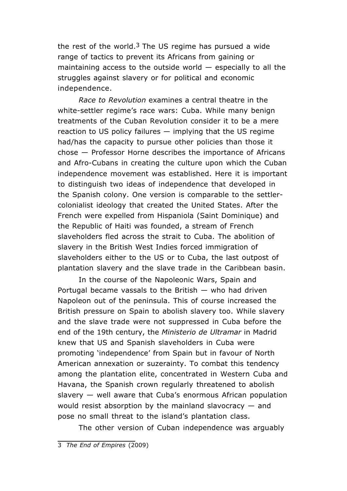the rest of the world.<sup>3</sup> The US regime has pursued a wide range of tactics to prevent its Africans from gaining or maintaining access to the outside world  $-$  especially to all the struggles against slavery or for political and economic independence.

*Race to Revolution* examines a central theatre in the white-settler regime's race wars: Cuba. While many benign treatments of the Cuban Revolution consider it to be a mere reaction to US policy failures — implying that the US regime had/has the capacity to pursue other policies than those it chose — Professor Horne describes the importance of Africans and Afro-Cubans in creating the culture upon which the Cuban independence movement was established. Here it is important to distinguish two ideas of independence that developed in the Spanish colony. One version is comparable to the settlercolonialist ideology that created the United States. After the French were expelled from Hispaniola (Saint Dominique) and the Republic of Haiti was founded, a stream of French slaveholders fled across the strait to Cuba. The abolition of slavery in the British West Indies forced immigration of slaveholders either to the US or to Cuba, the last outpost of plantation slavery and the slave trade in the Caribbean basin.

In the course of the Napoleonic Wars, Spain and Portugal became vassals to the British  $-$  who had driven Napoleon out of the peninsula. This of course increased the British pressure on Spain to abolish slavery too. While slavery and the slave trade were not suppressed in Cuba before the end of the 19th century, the *Ministerio de Ultramar* in Madrid knew that US and Spanish slaveholders in Cuba were promoting 'independence' from Spain but in favour of North American annexation or suzerainty. To combat this tendency among the plantation elite, concentrated in Western Cuba and Havana, the Spanish crown regularly threatened to abolish slavery — well aware that Cuba's enormous African population would resist absorption by the mainland slavocracy — and pose no small threat to the island's plantation class.

The other version of Cuban independence was arguably

<sup>3</sup> *The End of Empires* (2009)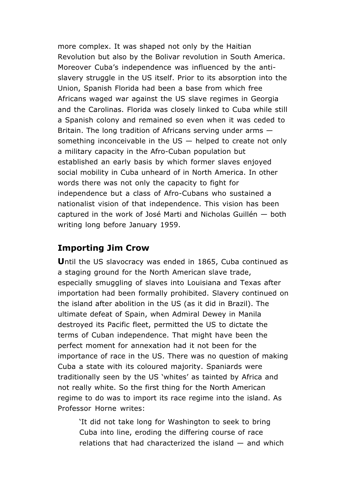more complex. It was shaped not only by the Haitian Revolution but also by the Bolivar revolution in South America. Moreover Cuba's independence was influenced by the antislavery struggle in the US itself. Prior to its absorption into the Union, Spanish Florida had been a base from which free Africans waged war against the US slave regimes in Georgia and the Carolinas. Florida was closely linked to Cuba while still a Spanish colony and remained so even when it was ceded to Britain. The long tradition of Africans serving under arms something inconceivable in the  $US -$  helped to create not only a military capacity in the Afro-Cuban population but established an early basis by which former slaves enjoyed social mobility in Cuba unheard of in North America. In other words there was not only the capacity to fight for independence but a class of Afro-Cubans who sustained a nationalist vision of that independence. This vision has been captured in the work of José Marti and Nicholas Guillén — both writing long before January 1959.

## **Importing Jim Crow**

**U**ntil the US slavocracy was ended in 1865, Cuba continued as a staging ground for the North American slave trade, especially smuggling of slaves into Louisiana and Texas after importation had been formally prohibited. Slavery continued on the island after abolition in the US (as it did in Brazil). The ultimate defeat of Spain, when Admiral Dewey in Manila destroyed its Pacific fleet, permitted the US to dictate the terms of Cuban independence. That might have been the perfect moment for annexation had it not been for the importance of race in the US. There was no question of making Cuba a state with its coloured majority. Spaniards were traditionally seen by the US 'whites' as tainted by Africa and not really white. So the first thing for the North American regime to do was to import its race regime into the island. As Professor Horne writes:

'It did not take long for Washington to seek to bring Cuba into line, eroding the differing course of race relations that had characterized the island — and which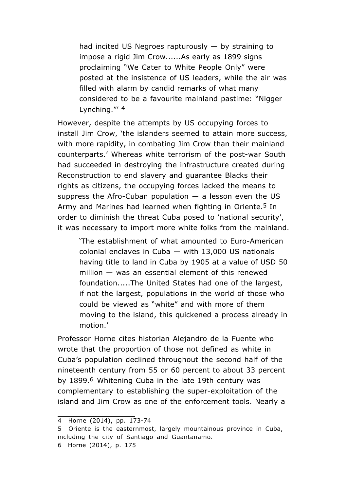had incited US Negroes rapturously  $-$  by straining to impose a rigid Jim Crow......As early as 1899 signs proclaiming "We Cater to White People Only" were posted at the insistence of US leaders, while the air was filled with alarm by candid remarks of what many considered to be a favourite mainland pastime: "Nigger Lynching."' 4

However, despite the attempts by US occupying forces to install Jim Crow, 'the islanders seemed to attain more success, with more rapidity, in combating Jim Crow than their mainland counterparts.' Whereas white terrorism of the post-war South had succeeded in destroying the infrastructure created during Reconstruction to end slavery and guarantee Blacks their rights as citizens, the occupying forces lacked the means to suppress the Afro-Cuban population  $-$  a lesson even the US Army and Marines had learned when fighting in Oriente.<sup>5</sup> In order to diminish the threat Cuba posed to 'national security', it was necessary to import more white folks from the mainland.

'The establishment of what amounted to Euro-American colonial enclaves in Cuba  $-$  with 13,000 US nationals having title to land in Cuba by 1905 at a value of USD 50 million — was an essential element of this renewed foundation.....The United States had one of the largest, if not the largest, populations in the world of those who could be viewed as "white" and with more of them moving to the island, this quickened a process already in motion.'

Professor Horne cites historian Alejandro de la Fuente who wrote that the proportion of those not defined as white in Cuba's population declined throughout the second half of the nineteenth century from 55 or 60 percent to about 33 percent by 1899.6 Whitening Cuba in the late 19th century was complementary to establishing the super-exploitation of the island and Jim Crow as one of the enforcement tools. Nearly a

<sup>4</sup> Horne (2014), pp. 173-74

<sup>5</sup> Oriente is the easternmost, largely mountainous province in Cuba, including the city of Santiago and Guantanamo. 6 Horne (2014), p. 175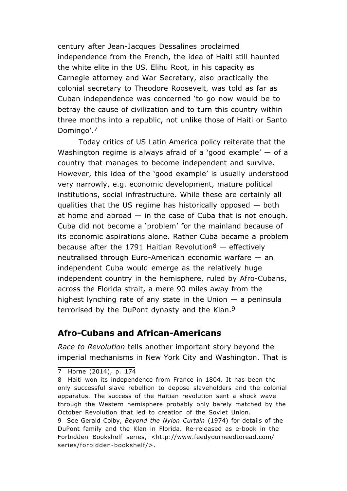century after Jean-Jacques Dessalines proclaimed independence from the French, the idea of Haiti still haunted the white elite in the US. Elihu Root, in his capacity as Carnegie attorney and War Secretary, also practically the colonial secretary to Theodore Roosevelt, was told as far as Cuban independence was concerned 'to go now would be to betray the cause of civilization and to turn this country within three months into a republic, not unlike those of Haiti or Santo Domingo'.7

Today critics of US Latin America policy reiterate that the Washington regime is always afraid of a 'good example'  $-$  of a country that manages to become independent and survive. However, this idea of the 'good example' is usually understood very narrowly, e.g. economic development, mature political institutions, social infrastructure. While these are certainly all qualities that the US regime has historically opposed — both at home and abroad  $-$  in the case of Cuba that is not enough. Cuba did not become a 'problem' for the mainland because of its economic aspirations alone. Rather Cuba became a problem because after the 1791 Haitian Revolution<sup>8</sup> – effectively neutralised through Euro-American economic warfare — an independent Cuba would emerge as the relatively huge independent country in the hemisphere, ruled by Afro-Cubans, across the Florida strait, a mere 90 miles away from the highest lynching rate of any state in the Union  $-$  a peninsula terrorised by the DuPont dynasty and the Klan.<sup>9</sup>

### **Afro-Cubans and African-Americans**

*Race to Revolution* tells another important story beyond the imperial mechanisms in New York City and Washington. That is

7 Horne (2014), p. 174

<sup>8</sup> Haiti won its independence from France in 1804. It has been the only successful slave rebellion to depose slaveholders and the colonial apparatus. The success of the Haitian revolution sent a shock wave through the Western hemisphere probably only barely matched by the October Revolution that led to creation of the Soviet Union. 9 See Gerald Colby, *Beyond the Nylon Curtain* (1974) for details of the DuPont family and the Klan in Florida. Re-released as e-book in the Forbidden Bookshelf series, <http://www.feedyourneedtoread.com/ series/forbidden-bookshelf/>.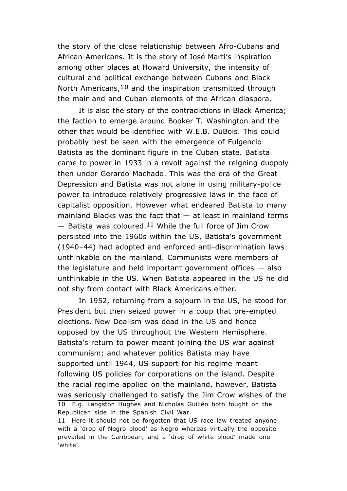the story of the close relationship between Afro-Cubans and African-Americans. It is the story of José Marti's inspiration among other places at Howard University, the intensity of cultural and political exchange between Cubans and Black North Americans,  $10$  and the inspiration transmitted through the mainland and Cuban elements of the African diaspora.

It is also the story of the contradictions in Black America; the faction to emerge around Booker T. Washington and the other that would be identified with W.E.B. DuBois. This could probably best be seen with the emergence of Fulgencio Batista as the dominant figure in the Cuban state. Batista came to power in 1933 in a revolt against the reigning duopoly then under Gerardo Machado. This was the era of the Great Depression and Batista was not alone in using military-police power to introduce relatively progressive laws in the face of capitalist opposition. However what endeared Batista to many mainland Blacks was the fact that  $-$  at least in mainland terms  $-$  Batista was coloured.<sup>11</sup> While the full force of Jim Crow persisted into the 1960s within the US, Batista's government (1940–44) had adopted and enforced anti-discrimination laws unthinkable on the mainland. Communists were members of the legislature and held important government offices  $-$  also unthinkable in the US. When Batista appeared in the US he did not shy from contact with Black Americans either.

In 1952, returning from a sojourn in the US, he stood for President but then seized power in a coup that pre-empted elections. New Dealism was dead in the US and hence opposed by the US throughout the Western Hemisphere. Batista's return to power meant joining the US war against communism; and whatever politics Batista may have supported until 1944, US support for his regime meant following US policies for corporations on the island. Despite the racial regime applied on the mainland, however, Batista was seriously challenged to satisfy the Jim Crow wishes of the 10 E.g. Langston Hughes and Nicholas Guillén both fought on the Republican side in the Spanish Civil War.

<sup>11</sup> Here it should not be forgotten that US race law treated anyone with a 'drop of Negro blood' as Negro whereas virtually the opposite prevailed in the Caribbean, and a 'drop of white blood' made one 'white'.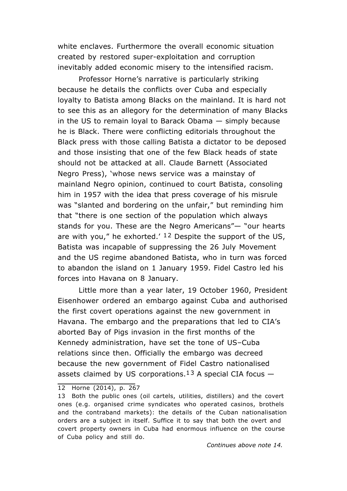white enclaves. Furthermore the overall economic situation created by restored super-exploitation and corruption inevitably added economic misery to the intensified racism.

Professor Horne's narrative is particularly striking because he details the conflicts over Cuba and especially loyalty to Batista among Blacks on the mainland. It is hard not to see this as an allegory for the determination of many Blacks in the US to remain loyal to Barack Obama — simply because he is Black. There were conflicting editorials throughout the Black press with those calling Batista a dictator to be deposed and those insisting that one of the few Black heads of state should not be attacked at all. Claude Barnett (Associated Negro Press), 'whose news service was a mainstay of mainland Negro opinion, continued to court Batista, consoling him in 1957 with the idea that press coverage of his misrule was "slanted and bordering on the unfair," but reminding him that "there is one section of the population which always stands for you. These are the Negro Americans"— "our hearts are with you," he exhorted.'  $12$  Despite the support of the US, Batista was incapable of suppressing the 26 July Movement and the US regime abandoned Batista, who in turn was forced to abandon the island on 1 January 1959. Fidel Castro led his forces into Havana on 8 January.

Little more than a year later, 19 October 1960, President Eisenhower ordered an embargo against Cuba and authorised the first covert operations against the new government in Havana. The embargo and the preparations that led to CIA's aborted Bay of Pigs invasion in the first months of the Kennedy administration, have set the tone of US–Cuba relations since then. Officially the embargo was decreed because the new government of Fidel Castro nationalised assets claimed by US corporations.<sup>13</sup> A special CIA focus  $-$ 

<sup>12</sup> Horne (2014), p. 267

<sup>13</sup> Both the public ones (oil cartels, utilities, distillers) and the covert ones (e.g. organised crime syndicates who operated casinos, brothels and the contraband markets): the details of the Cuban nationalisation orders are a subject in itself. Suffice it to say that both the overt and covert property owners in Cuba had enormous influence on the course of Cuba policy and still do.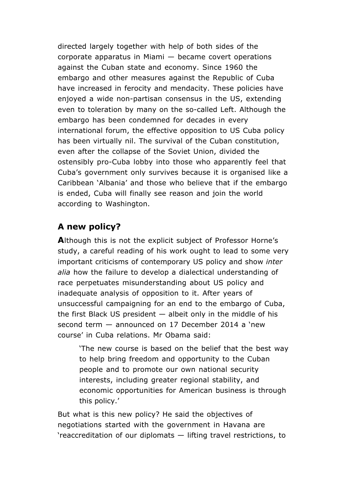directed largely together with help of both sides of the corporate apparatus in Miami — became covert operations against the Cuban state and economy. Since 1960 the embargo and other measures against the Republic of Cuba have increased in ferocity and mendacity. These policies have enjoyed a wide non-partisan consensus in the US, extending even to toleration by many on the so-called Left. Although the embargo has been condemned for decades in every international forum, the effective opposition to US Cuba policy has been virtually nil. The survival of the Cuban constitution, even after the collapse of the Soviet Union, divided the ostensibly pro-Cuba lobby into those who apparently feel that Cuba's government only survives because it is organised like a Caribbean 'Albania' and those who believe that if the embargo is ended, Cuba will finally see reason and join the world according to Washington.

## **A new policy?**

**A**lthough this is not the explicit subject of Professor Horne's study, a careful reading of his work ought to lead to some very important criticisms of contemporary US policy and show *inter alia* how the failure to develop a dialectical understanding of race perpetuates misunderstanding about US policy and inadequate analysis of opposition to it. After years of unsuccessful campaigning for an end to the embargo of Cuba, the first Black US president  $-$  albeit only in the middle of his second term — announced on 17 December 2014 a 'new course' in Cuba relations. Mr Obama said:

'The new course is based on the belief that the best way to help bring freedom and opportunity to the Cuban people and to promote our own national security interests, including greater regional stability, and economic opportunities for American business is through this policy.'

But what is this new policy? He said the objectives of negotiations started with the government in Havana are 'reaccreditation of our diplomats — lifting travel restrictions, to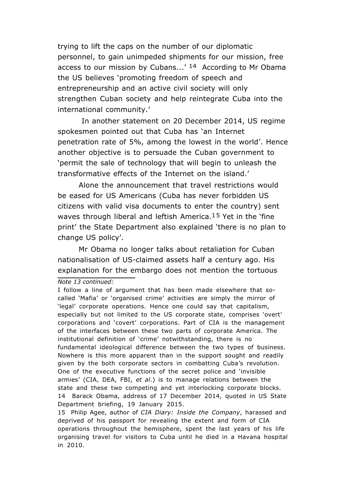trying to lift the caps on the number of our diplomatic personnel, to gain unimpeded shipments for our mission, free access to our mission by Cubans...'  $14$  According to Mr Obama the US believes 'promoting freedom of speech and entrepreneurship and an active civil society will only strengthen Cuban society and help reintegrate Cuba into the international community.'

In another statement on 20 December 2014, US regime spokesmen pointed out that Cuba has 'an Internet penetration rate of 5%, among the lowest in the world'. Hence another objective is to persuade the Cuban government to 'permit the sale of technology that will begin to unleash the transformative effects of the Internet on the island.'

Alone the announcement that travel restrictions would be eased for US Americans (Cuba has never forbidden US citizens with valid visa documents to enter the country) sent waves through liberal and leftish America.<sup>15</sup> Yet in the 'fine print' the State Department also explained 'there is no plan to change US policy'.

Mr Obama no longer talks about retaliation for Cuban nationalisation of US-claimed assets half a century ago. His explanation for the embargo does not mention the tortuous

*Note 13 continued:*

I follow a line of argument that has been made elsewhere that socalled 'Mafia' or 'organised crime' activities are simply the mirror of 'legal' corporate operations. Hence one could say that capitalism, especially but not limited to the US corporate state, comprises 'overt' corporations and 'covert' corporations. Part of CIA is the management of the interfaces between these two parts of corporate America. The institutional definition of 'crime' notwithstanding, there is no fundamental ideological difference between the two types of business. Nowhere is this more apparent than in the support sought and readily given by the both corporate sectors in combatting Cuba's revolution. One of the executive functions of the secret police and 'invisible armies' (CIA, DEA, FBI, *et al*.) is to manage relations between the state and these two competing and yet interlocking corporate blocks. 14 Barack Obama, address of 17 December 2014, quoted in US State Department briefing, 19 January 2015.

<sup>15</sup> Philip Agee, author of *CIA Diary: Inside the Company*, harassed and deprived of his passport for revealing the extent and form of CIA operations throughout the hemisphere, spent the last years of his life organising travel for visitors to Cuba until he died in a Havana hospital in 2010.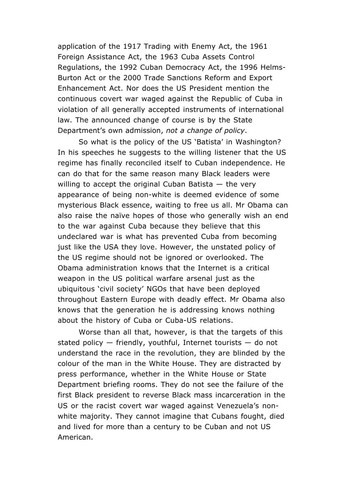application of the 1917 Trading with Enemy Act, the 1961 Foreign Assistance Act, the 1963 Cuba Assets Control Regulations, the 1992 Cuban Democracy Act, the 1996 Helms-Burton Act or the 2000 Trade Sanctions Reform and Export Enhancement Act. Nor does the US President mention the continuous covert war waged against the Republic of Cuba in violation of all generally accepted instruments of international law. The announced change of course is by the State Department's own admission, *not a change of policy*.

So what is the policy of the US 'Batista' in Washington? In his speeches he suggests to the willing listener that the US regime has finally reconciled itself to Cuban independence. He can do that for the same reason many Black leaders were willing to accept the original Cuban Batista  $-$  the very appearance of being non-white is deemed evidence of some mysterious Black essence, waiting to free us all. Mr Obama can also raise the naïve hopes of those who generally wish an end to the war against Cuba because they believe that this undeclared war is what has prevented Cuba from becoming just like the USA they love. However, the unstated policy of the US regime should not be ignored or overlooked. The Obama administration knows that the Internet is a critical weapon in the US political warfare arsenal just as the ubiquitous 'civil society' NGOs that have been deployed throughout Eastern Europe with deadly effect. Mr Obama also knows that the generation he is addressing knows nothing about the history of Cuba or Cuba-US relations.

Worse than all that, however, is that the targets of this stated policy — friendly, youthful, Internet tourists — do not understand the race in the revolution, they are blinded by the colour of the man in the White House. They are distracted by press performance, whether in the White House or State Department briefing rooms. They do not see the failure of the first Black president to reverse Black mass incarceration in the US or the racist covert war waged against Venezuela's nonwhite majority. They cannot imagine that Cubans fought, died and lived for more than a century to be Cuban and not US American.